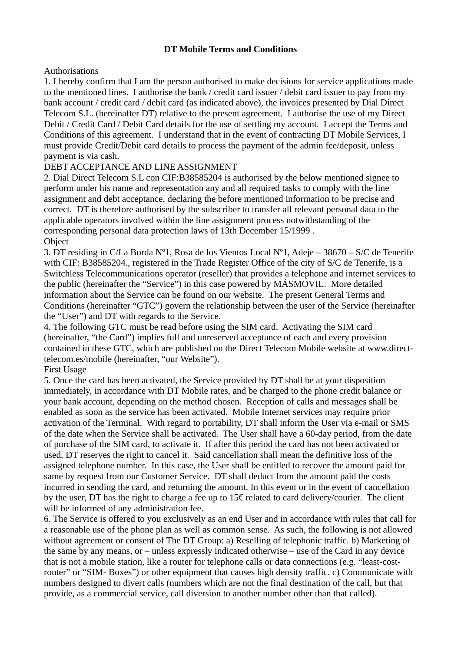# **DT Mobile Terms and Conditions**

# Authorisations

1. I hereby confirm that I am the person authorised to make decisions for service applications made to the mentioned lines. I authorise the bank / credit card issuer / debit card issuer to pay from my bank account / credit card / debit card (as indicated above), the invoices presented by Dial Direct Telecom S.L. (hereinafter DT) relative to the present agreement. I authorise the use of my Direct Debit / Credit Card / Debit Card details for the use of settling my account. I accept the Terms and Conditions of this agreement. I understand that in the event of contracting DT Mobile Services, I must provide Credit/Debit card details to process the payment of the admin fee/deposit, unless payment is via cash.

# DEBT ACCEPTANCE AND LINE ASSIGNMENT

2. Dial Direct Telecom S.L con CIF:B38585204 is authorised by the below mentioned signee to perform under his name and representation any and all required tasks to comply with the line assignment and debt acceptance, declaring the before mentioned information to be precise and correct. DT is therefore authorised by the subscriber to transfer all relevant personal data to the applicable operators involved within the line assignment process notwithstanding of the corresponding personal data protection laws of 13th December 15/1999 . **Object** 

3. DT residing in C/La Borda Nº1, Rosa de los Vientos Local Nº1, Adeje – 38670 – S/C de Tenerife with CIF: B38585204., registered in the Trade Register Office of the city of S/C de Tenerife, is a Switchless Telecommunications operator (reseller) that provides a telephone and internet services to the public (hereinafter the "Service") in this case powered by MÁSMOVIL. More detailed information about the Service can be found on our website. The present General Terms and Conditions (hereinafter "GTC") govern the relationship between the user of the Service (hereinafter the "User") and DT with regards to the Service.

4. The following GTC must be read before using the SIM card. Activating the SIM card (hereinafter, "the Card") implies full and unreserved acceptance of each and every provision contained in these GTC, which are published on the Direct Telecom Mobile website at www.directtelecom.es/mobile (hereinafter, "our Website").

# First Usage

5. Once the card has been activated, the Service provided by DT shall be at your disposition immediately, in accordance with DT Mobile rates, and be charged to the phone credit balance or your bank account, depending on the method chosen. Reception of calls and messages shall be enabled as soon as the service has been activated. Mobile Internet services may require prior activation of the Terminal. With regard to portability, DT shall inform the User via e-mail or SMS of the date when the Service shall be activated. The User shall have a 60-day period, from the date of purchase of the SIM card, to activate it. If after this period the card has not been activated or used, DT reserves the right to cancel it. Said cancellation shall mean the definitive loss of the assigned telephone number. In this case, the User shall be entitled to recover the amount paid for same by request from our Customer Service. DT shall deduct from the amount paid the costs incurred in sending the card, and returning the amount. In this event or in the event of cancellation by the user, DT has the right to charge a fee up to 15€ related to card delivery/courier. The client will be informed of any administration fee.

6. The Service is offered to you exclusively as an end User and in accordance with rules that call for a reasonable use of the phone plan as well as common sense. As such, the following is not allowed without agreement or consent of The DT Group: a) Reselling of telephonic traffic. b) Marketing of the same by any means, or – unless expressly indicated otherwise – use of the Card in any device that is not a mobile station, like a router for telephone calls or data connections (e.g. "least-costrouter" or "SIM- Boxes") or other equipment that causes high density traffic. c) Communicate with numbers designed to divert calls (numbers which are not the final destination of the call, but that provide, as a commercial service, call diversion to another number other than that called).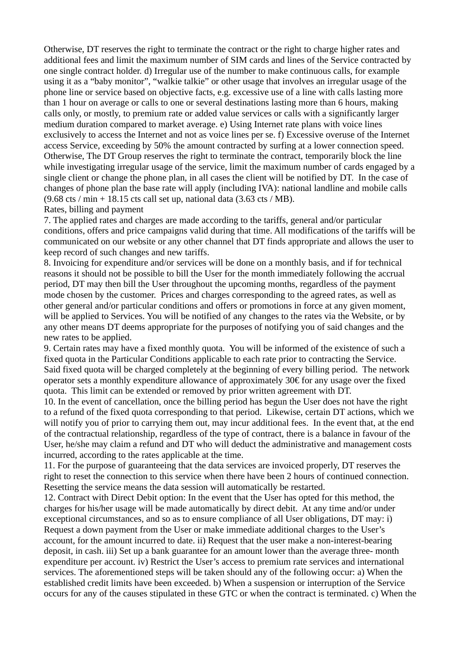Otherwise, DT reserves the right to terminate the contract or the right to charge higher rates and additional fees and limit the maximum number of SIM cards and lines of the Service contracted by one single contract holder. d) Irregular use of the number to make continuous calls, for example using it as a "baby monitor", "walkie talkie" or other usage that involves an irregular usage of the phone line or service based on objective facts, e.g. excessive use of a line with calls lasting more than 1 hour on average or calls to one or several destinations lasting more than 6 hours, making calls only, or mostly, to premium rate or added value services or calls with a significantly larger medium duration compared to market average. e) Using Internet rate plans with voice lines exclusively to access the Internet and not as voice lines per se. f) Excessive overuse of the Internet access Service, exceeding by 50% the amount contracted by surfing at a lower connection speed. Otherwise, The DT Group reserves the right to terminate the contract, temporarily block the line while investigating irregular usage of the service, limit the maximum number of cards engaged by a single client or change the phone plan, in all cases the client will be notified by DT. In the case of changes of phone plan the base rate will apply (including IVA): national landline and mobile calls  $(9.68 \text{ cts } / \text{min} + 18.15 \text{ cts call set up, national data } (3.63 \text{ cts } / \text{MB}).$ 

### Rates, billing and payment

7. The applied rates and charges are made according to the tariffs, general and/or particular conditions, offers and price campaigns valid during that time. All modifications of the tariffs will be communicated on our website or any other channel that DT finds appropriate and allows the user to keep record of such changes and new tariffs.

8. Invoicing for expenditure and/or services will be done on a monthly basis, and if for technical reasons it should not be possible to bill the User for the month immediately following the accrual period, DT may then bill the User throughout the upcoming months, regardless of the payment mode chosen by the customer. Prices and charges corresponding to the agreed rates, as well as other general and/or particular conditions and offers or promotions in force at any given moment, will be applied to Services. You will be notified of any changes to the rates via the Website, or by any other means DT deems appropriate for the purposes of notifying you of said changes and the new rates to be applied.

9. Certain rates may have a fixed monthly quota. You will be informed of the existence of such a fixed quota in the Particular Conditions applicable to each rate prior to contracting the Service. Said fixed quota will be charged completely at the beginning of every billing period. The network operator sets a monthly expenditure allowance of approximately 30€ for any usage over the fixed quota. This limit can be extended or removed by prior written agreement with DT.

10. In the event of cancellation, once the billing period has begun the User does not have the right to a refund of the fixed quota corresponding to that period. Likewise, certain DT actions, which we will notify you of prior to carrying them out, may incur additional fees. In the event that, at the end of the contractual relationship, regardless of the type of contract, there is a balance in favour of the User, he/she may claim a refund and DT who will deduct the administrative and management costs incurred, according to the rates applicable at the time.

11. For the purpose of guaranteeing that the data services are invoiced properly, DT reserves the right to reset the connection to this service when there have been 2 hours of continued connection. Resetting the service means the data session will automatically be restarted.

12. Contract with Direct Debit option: In the event that the User has opted for this method, the charges for his/her usage will be made automatically by direct debit. At any time and/or under exceptional circumstances, and so as to ensure compliance of all User obligations, DT may: i) Request a down payment from the User or make immediate additional charges to the User's account, for the amount incurred to date. ii) Request that the user make a non-interest-bearing deposit, in cash. iii) Set up a bank guarantee for an amount lower than the average three- month expenditure per account. iv) Restrict the User's access to premium rate services and international services. The aforementioned steps will be taken should any of the following occur: a) When the established credit limits have been exceeded. b) When a suspension or interruption of the Service occurs for any of the causes stipulated in these GTC or when the contract is terminated. c) When the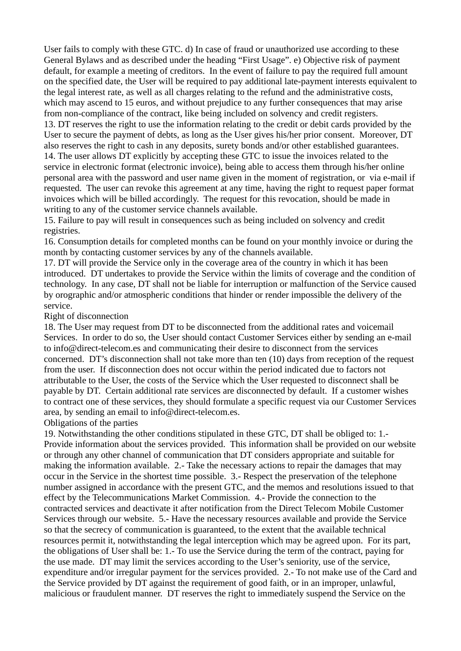User fails to comply with these GTC. d) In case of fraud or unauthorized use according to these General Bylaws and as described under the heading "First Usage". e) Objective risk of payment default, for example a meeting of creditors. In the event of failure to pay the required full amount on the specified date, the User will be required to pay additional late-payment interests equivalent to the legal interest rate, as well as all charges relating to the refund and the administrative costs, which may ascend to 15 euros, and without prejudice to any further consequences that may arise from non-compliance of the contract, like being included on solvency and credit registers. 13. DT reserves the right to use the information relating to the credit or debit cards provided by the User to secure the payment of debts, as long as the User gives his/her prior consent. Moreover, DT also reserves the right to cash in any deposits, surety bonds and/or other established guarantees. 14. The user allows DT explicitly by accepting these GTC to issue the invoices related to the service in electronic format (electronic invoice), being able to access them through his/her online personal area with the password and user name given in the moment of registration, or via e-mail if requested. The user can revoke this agreement at any time, having the right to request paper format invoices which will be billed accordingly. The request for this revocation, should be made in writing to any of the customer service channels available.

15. Failure to pay will result in consequences such as being included on solvency and credit registries.

16. Consumption details for completed months can be found on your monthly invoice or during the month by contacting customer services by any of the channels available.

17. DT will provide the Service only in the coverage area of the country in which it has been introduced. DT undertakes to provide the Service within the limits of coverage and the condition of technology. In any case, DT shall not be liable for interruption or malfunction of the Service caused by orographic and/or atmospheric conditions that hinder or render impossible the delivery of the service.

### Right of disconnection

18. The User may request from DT to be disconnected from the additional rates and voicemail Services. In order to do so, the User should contact Customer Services either by sending an e-mail to info@direct-telecom.es and communicating their desire to disconnect from the services concerned. DT's disconnection shall not take more than ten (10) days from reception of the request from the user. If disconnection does not occur within the period indicated due to factors not attributable to the User, the costs of the Service which the User requested to disconnect shall be payable by DT. Certain additional rate services are disconnected by default. If a customer wishes to contract one of these services, they should formulate a specific request via our Customer Services area, by sending an email to info@direct-telecom.es.

### Obligations of the parties

19. Notwithstanding the other conditions stipulated in these GTC, DT shall be obliged to: 1.- Provide information about the services provided. This information shall be provided on our website or through any other channel of communication that DT considers appropriate and suitable for making the information available. 2.- Take the necessary actions to repair the damages that may occur in the Service in the shortest time possible. 3.- Respect the preservation of the telephone number assigned in accordance with the present GTC, and the memos and resolutions issued to that effect by the Telecommunications Market Commission. 4.- Provide the connection to the contracted services and deactivate it after notification from the Direct Telecom Mobile Customer Services through our website. 5.- Have the necessary resources available and provide the Service so that the secrecy of communication is guaranteed, to the extent that the available technical resources permit it, notwithstanding the legal interception which may be agreed upon. For its part, the obligations of User shall be: 1.- To use the Service during the term of the contract, paying for the use made. DT may limit the services according to the User's seniority, use of the service, expenditure and/or irregular payment for the services provided. 2.- To not make use of the Card and the Service provided by DT against the requirement of good faith, or in an improper, unlawful, malicious or fraudulent manner. DT reserves the right to immediately suspend the Service on the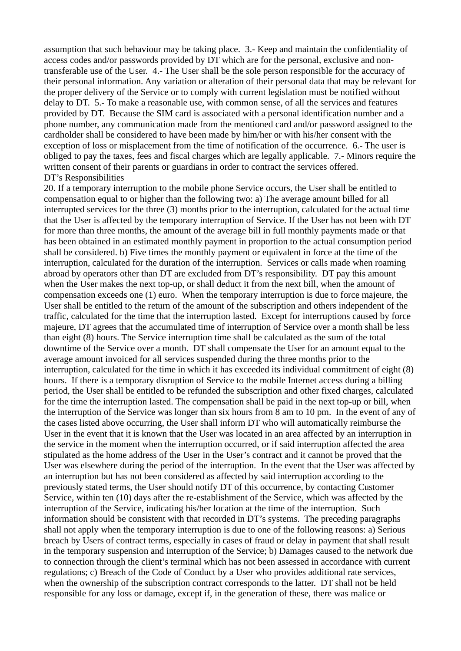assumption that such behaviour may be taking place. 3.- Keep and maintain the confidentiality of access codes and/or passwords provided by DT which are for the personal, exclusive and nontransferable use of the User. 4.- The User shall be the sole person responsible for the accuracy of their personal information. Any variation or alteration of their personal data that may be relevant for the proper delivery of the Service or to comply with current legislation must be notified without delay to DT. 5.- To make a reasonable use, with common sense, of all the services and features provided by DT. Because the SIM card is associated with a personal identification number and a phone number, any communication made from the mentioned card and/or password assigned to the cardholder shall be considered to have been made by him/her or with his/her consent with the exception of loss or misplacement from the time of notification of the occurrence. 6.- The user is obliged to pay the taxes, fees and fiscal charges which are legally applicable. 7.- Minors require the written consent of their parents or guardians in order to contract the services offered. DT's Responsibilities

20. If a temporary interruption to the mobile phone Service occurs, the User shall be entitled to compensation equal to or higher than the following two: a) The average amount billed for all interrupted services for the three (3) months prior to the interruption, calculated for the actual time that the User is affected by the temporary interruption of Service. If the User has not been with DT for more than three months, the amount of the average bill in full monthly payments made or that has been obtained in an estimated monthly payment in proportion to the actual consumption period shall be considered. b) Five times the monthly payment or equivalent in force at the time of the interruption, calculated for the duration of the interruption. Services or calls made when roaming abroad by operators other than DT are excluded from DT's responsibility. DT pay this amount when the User makes the next top-up, or shall deduct it from the next bill, when the amount of compensation exceeds one (1) euro. When the temporary interruption is due to force majeure, the User shall be entitled to the return of the amount of the subscription and others independent of the traffic, calculated for the time that the interruption lasted. Except for interruptions caused by force majeure, DT agrees that the accumulated time of interruption of Service over a month shall be less than eight (8) hours. The Service interruption time shall be calculated as the sum of the total downtime of the Service over a month. DT shall compensate the User for an amount equal to the average amount invoiced for all services suspended during the three months prior to the interruption, calculated for the time in which it has exceeded its individual commitment of eight (8) hours. If there is a temporary disruption of Service to the mobile Internet access during a billing period, the User shall be entitled to be refunded the subscription and other fixed charges, calculated for the time the interruption lasted. The compensation shall be paid in the next top-up or bill, when the interruption of the Service was longer than six hours from 8 am to 10 pm. In the event of any of the cases listed above occurring, the User shall inform DT who will automatically reimburse the User in the event that it is known that the User was located in an area affected by an interruption in the service in the moment when the interruption occurred, or if said interruption affected the area stipulated as the home address of the User in the User's contract and it cannot be proved that the User was elsewhere during the period of the interruption. In the event that the User was affected by an interruption but has not been considered as affected by said interruption according to the previously stated terms, the User should notify DT of this occurrence, by contacting Customer Service, within ten (10) days after the re-establishment of the Service, which was affected by the interruption of the Service, indicating his/her location at the time of the interruption. Such information should be consistent with that recorded in DT's systems. The preceding paragraphs shall not apply when the temporary interruption is due to one of the following reasons: a) Serious breach by Users of contract terms, especially in cases of fraud or delay in payment that shall result in the temporary suspension and interruption of the Service; b) Damages caused to the network due to connection through the client's terminal which has not been assessed in accordance with current regulations; c) Breach of the Code of Conduct by a User who provides additional rate services, when the ownership of the subscription contract corresponds to the latter. DT shall not be held responsible for any loss or damage, except if, in the generation of these, there was malice or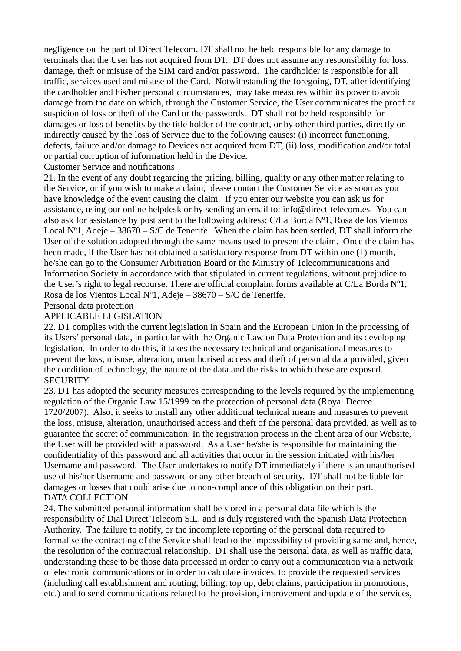negligence on the part of Direct Telecom. DT shall not be held responsible for any damage to terminals that the User has not acquired from DT. DT does not assume any responsibility for loss, damage, theft or misuse of the SIM card and/or password. The cardholder is responsible for all traffic, services used and misuse of the Card. Notwithstanding the foregoing, DT, after identifying the cardholder and his/her personal circumstances, may take measures within its power to avoid damage from the date on which, through the Customer Service, the User communicates the proof or suspicion of loss or theft of the Card or the passwords. DT shall not be held responsible for damages or loss of benefits by the title holder of the contract, or by other third parties, directly or indirectly caused by the loss of Service due to the following causes: (i) incorrect functioning, defects, failure and/or damage to Devices not acquired from DT, (ii) loss, modification and/or total or partial corruption of information held in the Device.

Customer Service and notifications

21. In the event of any doubt regarding the pricing, billing, quality or any other matter relating to the Service, or if you wish to make a claim, please contact the Customer Service as soon as you have knowledge of the event causing the claim. If you enter our website you can ask us for assistance, using our online helpdesk or by sending an email to: info@direct-telecom.es. You can also ask for assistance by post sent to the following address: C/La Borda Nº1, Rosa de los Vientos Local N°1, Adeje – 38670 – S/C de Tenerife. When the claim has been settled, DT shall inform the User of the solution adopted through the same means used to present the claim. Once the claim has been made, if the User has not obtained a satisfactory response from DT within one (1) month, he/she can go to the Consumer Arbitration Board or the Ministry of Telecommunications and Information Society in accordance with that stipulated in current regulations, without prejudice to the User's right to legal recourse. There are official complaint forms available at  $C/La$  Borda  $N^{\circ}1$ . Rosa de los Vientos Local Nº1, Adeje – 38670 – S/C de Tenerife.

Personal data protection

# APPLICABLE LEGISLATION

22. DT complies with the current legislation in Spain and the European Union in the processing of its Users' personal data, in particular with the Organic Law on Data Protection and its developing legislation. In order to do this, it takes the necessary technical and organisational measures to prevent the loss, misuse, alteration, unauthorised access and theft of personal data provided, given the condition of technology, the nature of the data and the risks to which these are exposed. **SECURITY** 

23. DT has adopted the security measures corresponding to the levels required by the implementing regulation of the Organic Law 15/1999 on the protection of personal data (Royal Decree 1720/2007). Also, it seeks to install any other additional technical means and measures to prevent the loss, misuse, alteration, unauthorised access and theft of the personal data provided, as well as to guarantee the secret of communication. In the registration process in the client area of our Website, the User will be provided with a password. As a User he/she is responsible for maintaining the confidentiality of this password and all activities that occur in the session initiated with his/her Username and password. The User undertakes to notify DT immediately if there is an unauthorised use of his/her Username and password or any other breach of security. DT shall not be liable for damages or losses that could arise due to non-compliance of this obligation on their part. DATA COLLECTION

24. The submitted personal information shall be stored in a personal data file which is the responsibility of Dial Direct Telecom S.L. and is duly registered with the Spanish Data Protection Authority. The failure to notify, or the incomplete reporting of the personal data required to formalise the contracting of the Service shall lead to the impossibility of providing same and, hence, the resolution of the contractual relationship. DT shall use the personal data, as well as traffic data, understanding these to be those data processed in order to carry out a communication via a network of electronic communications or in order to calculate invoices, to provide the requested services (including call establishment and routing, billing, top up, debt claims, participation in promotions, etc.) and to send communications related to the provision, improvement and update of the services,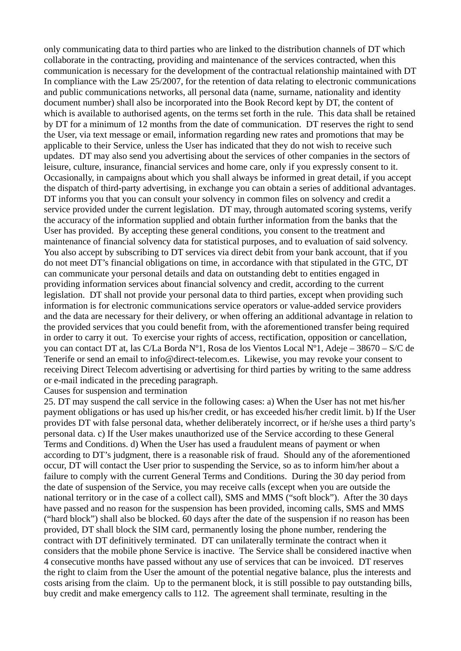only communicating data to third parties who are linked to the distribution channels of DT which collaborate in the contracting, providing and maintenance of the services contracted, when this communication is necessary for the development of the contractual relationship maintained with DT In compliance with the Law 25/2007, for the retention of data relating to electronic communications and public communications networks, all personal data (name, surname, nationality and identity document number) shall also be incorporated into the Book Record kept by DT, the content of which is available to authorised agents, on the terms set forth in the rule. This data shall be retained by DT for a minimum of 12 months from the date of communication. DT reserves the right to send the User, via text message or email, information regarding new rates and promotions that may be applicable to their Service, unless the User has indicated that they do not wish to receive such updates. DT may also send you advertising about the services of other companies in the sectors of leisure, culture, insurance, financial services and home care, only if you expressly consent to it. Occasionally, in campaigns about which you shall always be informed in great detail, if you accept the dispatch of third-party advertising, in exchange you can obtain a series of additional advantages. DT informs you that you can consult your solvency in common files on solvency and credit a service provided under the current legislation. DT may, through automated scoring systems, verify the accuracy of the information supplied and obtain further information from the banks that the User has provided. By accepting these general conditions, you consent to the treatment and maintenance of financial solvency data for statistical purposes, and to evaluation of said solvency. You also accept by subscribing to DT services via direct debit from your bank account, that if you do not meet DT's financial obligations on time, in accordance with that stipulated in the GTC, DT can communicate your personal details and data on outstanding debt to entities engaged in providing information services about financial solvency and credit, according to the current legislation. DT shall not provide your personal data to third parties, except when providing such information is for electronic communications service operators or value-added service providers and the data are necessary for their delivery, or when offering an additional advantage in relation to the provided services that you could benefit from, with the aforementioned transfer being required in order to carry it out. To exercise your rights of access, rectification, opposition or cancellation, you can contact DT at, las C/La Borda Nº1, Rosa de los Vientos Local Nº1, Adeje – 38670 – S/C de Tenerife or send an email to info@direct-telecom.es. Likewise, you may revoke your consent to receiving Direct Telecom advertising or advertising for third parties by writing to the same address or e-mail indicated in the preceding paragraph.

#### Causes for suspension and termination

25. DT may suspend the call service in the following cases: a) When the User has not met his/her payment obligations or has used up his/her credit, or has exceeded his/her credit limit. b) If the User provides DT with false personal data, whether deliberately incorrect, or if he/she uses a third party's personal data. c) If the User makes unauthorized use of the Service according to these General Terms and Conditions. d) When the User has used a fraudulent means of payment or when according to DT's judgment, there is a reasonable risk of fraud. Should any of the aforementioned occur, DT will contact the User prior to suspending the Service, so as to inform him/her about a failure to comply with the current General Terms and Conditions. During the 30 day period from the date of suspension of the Service, you may receive calls (except when you are outside the national territory or in the case of a collect call), SMS and MMS ("soft block"). After the 30 days have passed and no reason for the suspension has been provided, incoming calls, SMS and MMS ("hard block") shall also be blocked. 60 days after the date of the suspension if no reason has been provided, DT shall block the SIM card, permanently losing the phone number, rendering the contract with DT definitively terminated. DT can unilaterally terminate the contract when it considers that the mobile phone Service is inactive. The Service shall be considered inactive when 4 consecutive months have passed without any use of services that can be invoiced. DT reserves the right to claim from the User the amount of the potential negative balance, plus the interests and costs arising from the claim. Up to the permanent block, it is still possible to pay outstanding bills, buy credit and make emergency calls to 112. The agreement shall terminate, resulting in the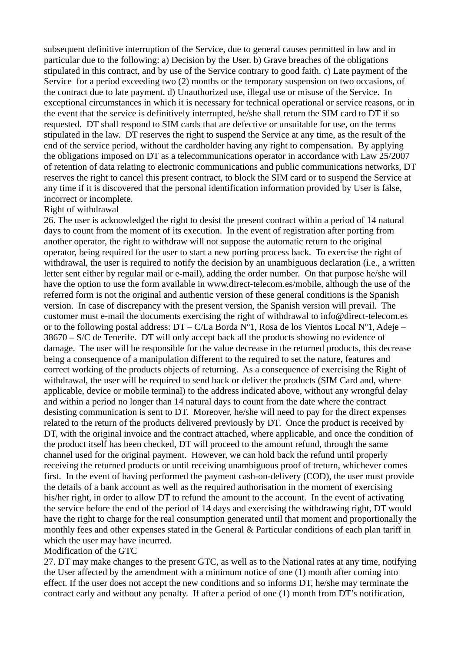subsequent definitive interruption of the Service, due to general causes permitted in law and in particular due to the following: a) Decision by the User. b) Grave breaches of the obligations stipulated in this contract, and by use of the Service contrary to good faith. c) Late payment of the Service for a period exceeding two (2) months or the temporary suspension on two occasions, of the contract due to late payment. d) Unauthorized use, illegal use or misuse of the Service. In exceptional circumstances in which it is necessary for technical operational or service reasons, or in the event that the service is definitively interrupted, he/she shall return the SIM card to DT if so requested. DT shall respond to SIM cards that are defective or unsuitable for use, on the terms stipulated in the law. DT reserves the right to suspend the Service at any time, as the result of the end of the service period, without the cardholder having any right to compensation. By applying the obligations imposed on DT as a telecommunications operator in accordance with Law 25/2007 of retention of data relating to electronic communications and public communications networks, DT reserves the right to cancel this present contract, to block the SIM card or to suspend the Service at any time if it is discovered that the personal identification information provided by User is false, incorrect or incomplete.

### Right of withdrawal

26. The user is acknowledged the right to desist the present contract within a period of 14 natural days to count from the moment of its execution. In the event of registration after porting from another operator, the right to withdraw will not suppose the automatic return to the original operator, being required for the user to start a new porting process back. To exercise the right of withdrawal, the user is required to notify the decision by an unambiguous declaration (i.e., a written letter sent either by regular mail or e-mail), adding the order number. On that purpose he/she will have the option to use the form available in www.direct-telecom.es/mobile, although the use of the referred form is not the original and authentic version of these general conditions is the Spanish version. In case of discrepancy with the present version, the Spanish version will prevail. The customer must e-mail the documents exercising the right of withdrawal to info@direct-telecom.es or to the following postal address:  $DT - C/L$ a Borda N°1, Rosa de los Vientos Local N°1, Adeje – 38670 – S/C de Tenerife. DT will only accept back all the products showing no evidence of damage. The user will be responsible for the value decrease in the returned products, this decrease being a consequence of a manipulation different to the required to set the nature, features and correct working of the products objects of returning. As a consequence of exercising the Right of withdrawal, the user will be required to send back or deliver the products (SIM Card and, where applicable, device or mobile terminal) to the address indicated above, without any wrongful delay and within a period no longer than 14 natural days to count from the date where the contract desisting communication is sent to DT. Moreover, he/she will need to pay for the direct expenses related to the return of the products delivered previously by DT. Once the product is received by DT, with the original invoice and the contract attached, where applicable, and once the condition of the product itself has been checked, DT will proceed to the amount refund, through the same channel used for the original payment. However, we can hold back the refund until properly receiving the returned products or until receiving unambiguous proof of treturn, whichever comes first. In the event of having performed the payment cash-on-delivery (COD), the user must provide the details of a bank account as well as the required authorisation in the moment of exercising his/her right, in order to allow DT to refund the amount to the account. In the event of activating the service before the end of the period of 14 days and exercising the withdrawing right, DT would have the right to charge for the real consumption generated until that moment and proportionally the monthly fees and other expenses stated in the General & Particular conditions of each plan tariff in which the user may have incurred.

### Modification of the GTC

27. DT may make changes to the present GTC, as well as to the National rates at any time, notifying the User affected by the amendment with a minimum notice of one (1) month after coming into effect. If the user does not accept the new conditions and so informs DT, he/she may terminate the contract early and without any penalty. If after a period of one (1) month from DT's notification,